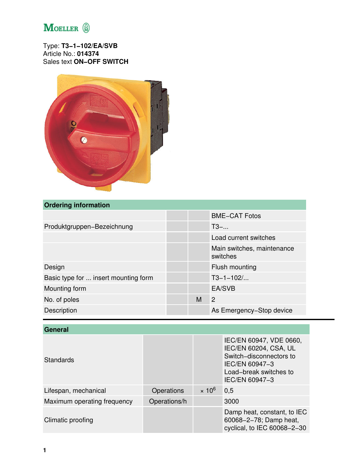

Type: **T3−1−102/EA/SVB** Article No.: **014374** Sales text **ON−OFF SWITCH**



## **Ordering information**

|                                      |   | <b>BME-CAT Fotos</b>                   |
|--------------------------------------|---|----------------------------------------|
| Produktgruppen-Bezeichnung           |   | $T3-$                                  |
|                                      |   | Load current switches                  |
|                                      |   | Main switches, maintenance<br>switches |
| Design                               |   | Flush mounting                         |
| Basic type for  insert mounting form |   | $T3 - 1 - 102$                         |
| Mounting form                        |   | EA/SVB                                 |
| No. of poles                         | M | $\overline{2}$                         |
| Description                          |   | As Emergency-Stop device               |

| <b>General</b>              |              |               |                                                                                                                                           |
|-----------------------------|--------------|---------------|-------------------------------------------------------------------------------------------------------------------------------------------|
| Standards                   |              |               | IEC/EN 60947, VDE 0660,<br>IEC/EN 60204, CSA, UL<br>Switch-disconnectors to<br>IEC/EN 60947-3<br>Load-break switches to<br>IEC/EN 60947-3 |
| Lifespan, mechanical        | Operations   | $\times 10^6$ | 0,5                                                                                                                                       |
| Maximum operating frequency | Operations/h |               | 3000                                                                                                                                      |
| Climatic proofing           |              |               | Damp heat, constant, to IEC<br>60068-2-78; Damp heat,<br>cyclical, to IEC 60068-2-30                                                      |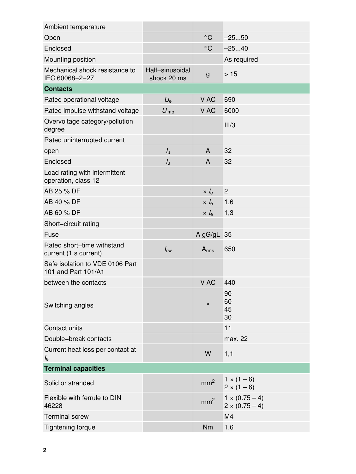| Ambient temperature                                    |                                |                    |                                                |
|--------------------------------------------------------|--------------------------------|--------------------|------------------------------------------------|
| Open                                                   |                                | $^{\circ}$ C       | $-2550$                                        |
| Enclosed                                               |                                | $^{\circ}$ C       | $-2540$                                        |
| Mounting position                                      |                                |                    | As required                                    |
| Mechanical shock resistance to<br>IEC 60068-2-27       | Half-sinusoidal<br>shock 20 ms | $\mathsf{g}$       | >15                                            |
| <b>Contacts</b>                                        |                                |                    |                                                |
| Rated operational voltage                              | $U_{\rm e}$                    | V AC               | 690                                            |
| Rated impulse withstand voltage                        | $U_{\text{imp}}$               | V AC               | 6000                                           |
| Overvoltage category/pollution<br>degree               |                                |                    | III/3                                          |
| Rated uninterrupted current                            |                                |                    |                                                |
| open                                                   | $I_{\rm u}$                    | $\mathsf{A}$       | 32                                             |
| Enclosed                                               | $I_{\rm u}$                    | $\mathsf{A}$       | 32                                             |
| Load rating with intermittent<br>operation, class 12   |                                |                    |                                                |
| AB 25 % DF                                             |                                | $\times l_{\rm e}$ | $\overline{2}$                                 |
| AB 40 % DF                                             |                                | $\times l_{\rm e}$ | 1,6                                            |
| AB 60 % DF                                             |                                | $\times l_e$       | 1,3                                            |
| Short-circuit rating                                   |                                |                    |                                                |
| Fuse                                                   |                                | A gG/gL 35         |                                                |
| Rated short-time withstand<br>current (1 s current)    | $I_{\text{cw}}$                | $A_{rms}$          | 650                                            |
| Safe isolation to VDE 0106 Part<br>101 and Part 101/A1 |                                |                    |                                                |
| between the contacts                                   |                                | V AC               | 440                                            |
| Switching angles                                       |                                | $\circ$            | 90<br>60<br>45<br>30                           |
| Contact units                                          |                                |                    | 11                                             |
| Double-break contacts                                  |                                |                    | max. 22                                        |
| Current heat loss per contact at<br>$l_{\rm e}$        |                                | W                  | 1,1                                            |
| <b>Terminal capacities</b>                             |                                |                    |                                                |
| Solid or stranded                                      |                                | mm <sup>2</sup>    | $1 \times (1 - 6)$<br>$2 \times (1 - 6)$       |
| Flexible with ferrule to DIN<br>46228                  |                                | mm <sup>2</sup>    | $1 \times (0.75 - 4)$<br>$2 \times (0.75 - 4)$ |
| <b>Terminal screw</b>                                  |                                |                    | M4                                             |
| Tightening torque                                      |                                | Nm                 | 1.6                                            |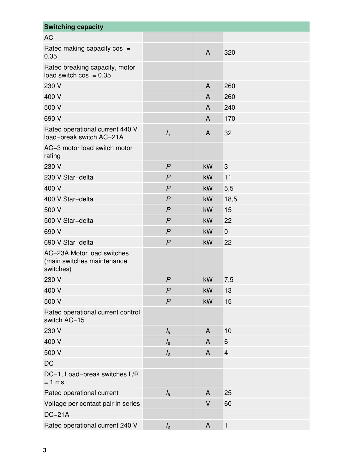| <b>Switching capacity</b>                                             |                |                |                |
|-----------------------------------------------------------------------|----------------|----------------|----------------|
| <b>AC</b>                                                             |                |                |                |
| Rated making capacity $cos =$<br>0.35                                 |                | $\overline{A}$ | 320            |
| Rated breaking capacity, motor<br>load switch $cos = 0.35$            |                |                |                |
| 230 V                                                                 |                | $\overline{A}$ | 260            |
| 400 V                                                                 |                | $\overline{A}$ | 260            |
| 500 V                                                                 |                | $\overline{A}$ | 240            |
| 690 V                                                                 |                | $\overline{A}$ | 170            |
| Rated operational current 440 V<br>load-break switch AC-21A           | $l_{\rm e}$    | A              | 32             |
| AC-3 motor load switch motor<br>rating                                |                |                |                |
| 230 V                                                                 | $\mathsf{P}$   | kW             | 3              |
| 230 V Star-delta                                                      | $\mathsf{P}$   | kW             | 11             |
| 400 V                                                                 | $\mathsf{P}$   | kW             | 5,5            |
| 400 V Star-delta                                                      | $\mathsf{P}$   | kW             | 18,5           |
| 500 V                                                                 | $\mathsf{P}$   | kW             | 15             |
| 500 V Star-delta                                                      | $\mathsf{P}$   | kW             | 22             |
| 690 V                                                                 | $\mathsf{P}$   | kW             | $\mathbf 0$    |
| 690 V Star-delta                                                      | $\mathsf{P}$   | kW             | 22             |
| AC-23A Motor load switches<br>(main switches maintenance<br>switches) |                |                |                |
| 230 V                                                                 | P              | kW             | 7,5            |
| 400 V                                                                 | P              | kW             | 13             |
| 500 V                                                                 | $\overline{P}$ | kW             | 15             |
| Rated operational current control<br>switch AC-15                     |                |                |                |
| 230 V                                                                 | $l_{\rm e}$    | A              | 10             |
| 400 V                                                                 | $l_{\rm e}$    | A              | 6              |
| 500 V                                                                 | $l_{\rm e}$    | $\mathsf{A}$   | $\overline{4}$ |
| <b>DC</b>                                                             |                |                |                |
| DC-1, Load-break switches L/R<br>$= 1$ ms                             |                |                |                |
| Rated operational current                                             | $l_{\rm e}$    | $\mathsf{A}$   | 25             |
| Voltage per contact pair in series                                    |                | V              | 60             |
| <b>DC-21A</b>                                                         |                |                |                |
| Rated operational current 240 V                                       | $I_{\rm e}$    | A              | $\mathbf{1}$   |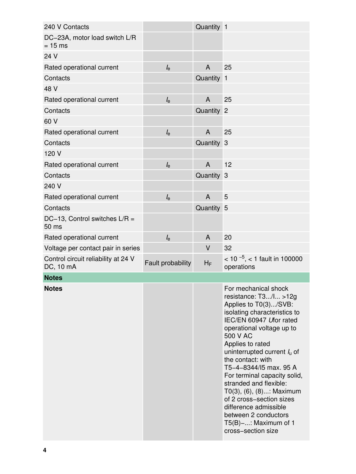| 240 V Contacts                                   |                   | Quantity 1 |                                                                                                                                                                                                                                                                                                                                                                                                                                                                                                        |
|--------------------------------------------------|-------------------|------------|--------------------------------------------------------------------------------------------------------------------------------------------------------------------------------------------------------------------------------------------------------------------------------------------------------------------------------------------------------------------------------------------------------------------------------------------------------------------------------------------------------|
| DC-23A, motor load switch L/R<br>$= 15$ ms       |                   |            |                                                                                                                                                                                                                                                                                                                                                                                                                                                                                                        |
| 24 V                                             |                   |            |                                                                                                                                                                                                                                                                                                                                                                                                                                                                                                        |
| Rated operational current                        | $l_{\rm e}$       | A          | 25                                                                                                                                                                                                                                                                                                                                                                                                                                                                                                     |
| Contacts                                         |                   | Quantity   | $\mathbf{1}$                                                                                                                                                                                                                                                                                                                                                                                                                                                                                           |
| 48 V                                             |                   |            |                                                                                                                                                                                                                                                                                                                                                                                                                                                                                                        |
| Rated operational current                        | $l_{\rm e}$       | A          | 25                                                                                                                                                                                                                                                                                                                                                                                                                                                                                                     |
| Contacts                                         |                   | Quantity 2 |                                                                                                                                                                                                                                                                                                                                                                                                                                                                                                        |
| 60 V                                             |                   |            |                                                                                                                                                                                                                                                                                                                                                                                                                                                                                                        |
| Rated operational current                        | $l_{\rm e}$       | A          | 25                                                                                                                                                                                                                                                                                                                                                                                                                                                                                                     |
| Contacts                                         |                   | Quantity 3 |                                                                                                                                                                                                                                                                                                                                                                                                                                                                                                        |
| 120 V                                            |                   |            |                                                                                                                                                                                                                                                                                                                                                                                                                                                                                                        |
| Rated operational current                        | $l_{\rm e}$       | A          | 12                                                                                                                                                                                                                                                                                                                                                                                                                                                                                                     |
| Contacts                                         |                   | Quantity 3 |                                                                                                                                                                                                                                                                                                                                                                                                                                                                                                        |
| 240 V                                            |                   |            |                                                                                                                                                                                                                                                                                                                                                                                                                                                                                                        |
| Rated operational current                        | $l_{\rm e}$       | A          | 5                                                                                                                                                                                                                                                                                                                                                                                                                                                                                                      |
| Contacts                                         |                   | Quantity 5 |                                                                                                                                                                                                                                                                                                                                                                                                                                                                                                        |
| DC-13, Control switches $L/R =$<br>50 ms         |                   |            |                                                                                                                                                                                                                                                                                                                                                                                                                                                                                                        |
| Rated operational current                        | $l_{\rm e}$       | A          | 20                                                                                                                                                                                                                                                                                                                                                                                                                                                                                                     |
| Voltage per contact pair in series               |                   | V          | 32                                                                                                                                                                                                                                                                                                                                                                                                                                                                                                     |
| Control circuit reliability at 24 V<br>DC, 10 mA | Fault probability | $H_F$      | $<$ 10 <sup>-5</sup> , $<$ 1 fault in 100000<br>operations                                                                                                                                                                                                                                                                                                                                                                                                                                             |
| <b>Notes</b>                                     |                   |            |                                                                                                                                                                                                                                                                                                                                                                                                                                                                                                        |
| <b>Notes</b>                                     |                   |            | For mechanical shock<br>resistance: $T3/I > 12g$<br>Applies to T0(3)/SVB:<br>isolating characteristics to<br>IEC/EN 60947 Ufor rated<br>operational voltage up to<br>500 V AC<br>Applies to rated<br>uninterrupted current $I_u$ of<br>the contact: with<br>T5-4-8344/15 max. 95 A<br>For terminal capacity solid,<br>stranded and flexible:<br>T0(3), (6), (8): Maximum<br>of 2 cross-section sizes<br>difference admissible<br>between 2 conductors<br>$T5(B)-$ : Maximum of 1<br>cross-section size |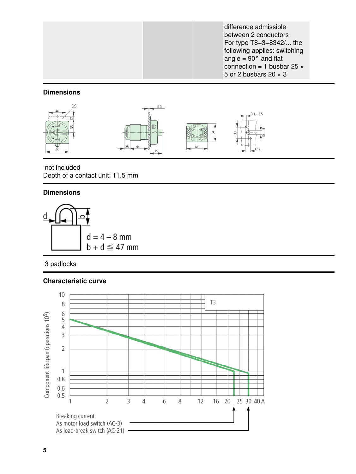difference admissible between 2 conductors For type T8−3−8342/... the following applies: switching angle =  $90^\circ$  and flat connection = 1 busbar 25  $\times$ 5 or 2 busbars  $20 \times 3$ 

## **Dimensions**



 not included Depth of a contact unit: 11.5 mm

## **Dimensions**



3 padlocks

## **Characteristic curve**